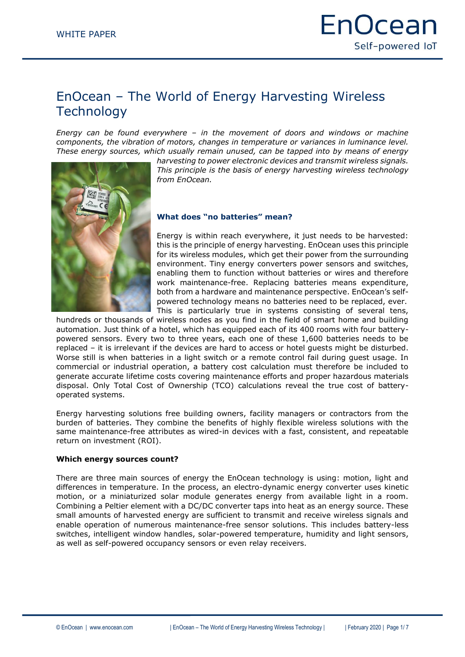# EnOcean – The World of Energy Harvesting Wireless **Technology**

*Energy can be found everywhere – in the movement of doors and windows or machine components, the vibration of motors, changes in temperature or variances in luminance level. These energy sources, which usually remain unused, can be tapped into by means of energy* 

*harvesting to power electronic devices and transmit wireless signals. This principle is the basis of energy harvesting wireless technology from EnOcean.*



Energy is within reach everywhere, it just needs to be harvested: this is the principle of energy harvesting. EnOcean uses this principle for its wireless modules, which get their power from the surrounding environment. Tiny energy converters power sensors and switches, enabling them to function without batteries or wires and therefore work maintenance-free. Replacing batteries means expenditure, both from a hardware and maintenance perspective. EnOcean's selfpowered technology means no batteries need to be replaced, ever. This is particularly true in systems consisting of several tens,

hundreds or thousands of wireless nodes as you find in the field of smart home and building automation. Just think of a hotel, which has equipped each of its 400 rooms with four batterypowered sensors. Every two to three years, each one of these 1,600 batteries needs to be replaced – it is irrelevant if the devices are hard to access or hotel guests might be disturbed. Worse still is when batteries in a light switch or a remote control fail during guest usage. In commercial or industrial operation, a battery cost calculation must therefore be included to generate accurate lifetime costs covering maintenance efforts and proper hazardous materials disposal. Only Total Cost of Ownership (TCO) calculations reveal the true cost of batteryoperated systems.

Energy harvesting solutions free building owners, facility managers or contractors from the burden of batteries. They combine the benefits of highly flexible wireless solutions with the same maintenance-free attributes as wired-in devices with a fast, consistent, and repeatable return on investment (ROI).

#### **Which energy sources count?**

There are three main sources of energy the EnOcean technology is using: motion, light and differences in temperature. In the process, an electro-dynamic energy converter uses kinetic motion, or a miniaturized solar module generates energy from available light in a room. Combining a Peltier element with a DC/DC converter taps into heat as an energy source. These small amounts of harvested energy are sufficient to transmit and receive wireless signals and enable operation of numerous maintenance-free sensor solutions. This includes battery-less switches, intelligent window handles, solar-powered temperature, humidity and light sensors, as well as self-powered occupancy sensors or even relay receivers.

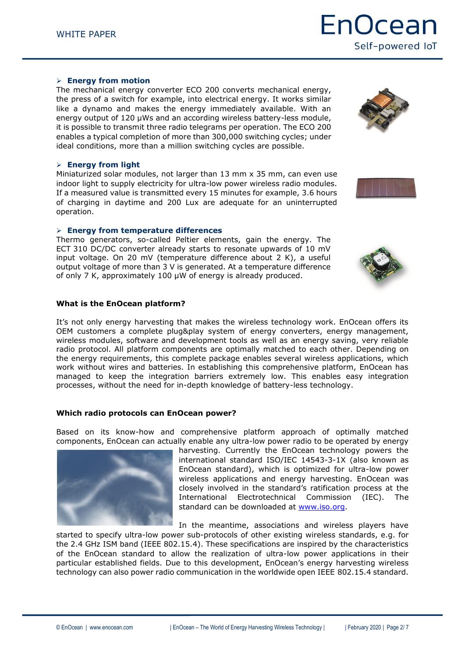# **Energy from motion**

The mechanical energy converter ECO 200 converts mechanical energy, the press of a switch for example, into electrical energy. It works similar like a dynamo and makes the energy immediately available. With an energy output of 120 µWs and an according wireless battery-less module, it is possible to transmit three radio telegrams per operation. The ECO 200 enables a typical completion of more than 300,000 switching cycles; under ideal conditions, more than a million switching cycles are possible.

# **Energy from light**

Miniaturized solar modules, not larger than 13 mm x 35 mm, can even use indoor light to supply electricity for ultra-low power wireless radio modules. If a measured value is transmitted every 15 minutes for example, 3.6 hours of charging in daytime and 200 Lux are adequate for an uninterrupted operation.

# **Energy from temperature differences**

Thermo generators, so-called Peltier elements, gain the energy. The ECT 310 DC/DC converter already starts to resonate upwards of 10 mV input voltage. On 20 mV (temperature difference about 2 K), a useful output voltage of more than 3 V is generated. At a temperature difference of only 7 K, approximately 100 μW of energy is already produced.

# **What is the EnOcean platform?**

It's not only energy harvesting that makes the wireless technology work. EnOcean offers its OEM customers a complete plug&play system of energy converters, energy management, wireless modules, software and development tools as well as an energy saving, very reliable radio protocol. All platform components are optimally matched to each other. Depending on the energy requirements, this complete package enables several wireless applications, which work without wires and batteries. In establishing this comprehensive platform, EnOcean has managed to keep the integration barriers extremely low. This enables easy integration processes, without the need for in-depth knowledge of battery-less technology.

# **Which radio protocols can EnOcean power?**

Based on its know-how and comprehensive platform approach of optimally matched components, EnOcean can actually enable any ultra-low power radio to be operated by energy

harvesting. Currently the EnOcean technology powers the international standard ISO/IEC 14543-3-1X (also known as EnOcean standard), which is optimized for ultra-low power wireless applications and energy harvesting. EnOcean was closely involved in the standard's ratification process at the International Electrotechnical Commission (IEC). The standard can be downloaded at [www.iso.org.](http://www.iso.org/)

In the meantime, associations and wireless players have

started to specify ultra-low power sub-protocols of other existing wireless standards, e.g. for the 2.4 GHz ISM band (IEEE 802.15.4). These specifications are inspired by the characteristics of the EnOcean standard to allow the realization of ultra-low power applications in their particular established fields. Due to this development, EnOcean's energy harvesting wireless technology can also power radio communication in the worldwide open IEEE 802.15.4 standard.







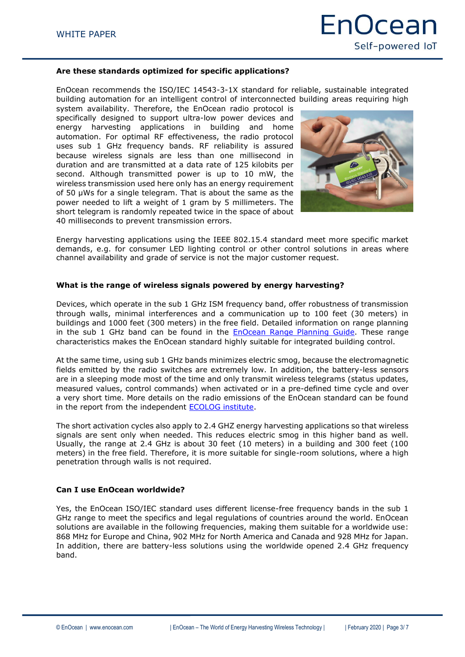### **Are these standards optimized for specific applications?**

EnOcean recommends the ISO/IEC 14543-3-1X standard for reliable, sustainable integrated building automation for an intelligent control of interconnected building areas requiring high

system availability. Therefore, the EnOcean radio protocol is specifically designed to support ultra-low power devices and energy harvesting applications in building and home automation. For optimal RF effectiveness, the radio protocol uses sub 1 GHz frequency bands. RF reliability is assured because wireless signals are less than one millisecond in duration and are transmitted at a data rate of 125 kilobits per second. Although transmitted power is up to 10 mW, the wireless transmission used here only has an energy requirement of 50 µWs for a single telegram. That is about the same as the power needed to lift a weight of 1 gram by 5 millimeters. The short telegram is randomly repeated twice in the space of about 40 milliseconds to prevent transmission errors.



Energy harvesting applications using the IEEE 802.15.4 standard meet more specific market demands, e.g. for consumer LED lighting control or other control solutions in areas where channel availability and grade of service is not the major customer request.

#### **What is the range of wireless signals powered by energy harvesting?**

Devices, which operate in the sub 1 GHz ISM frequency band, offer robustness of transmission through walls, minimal interferences and a communication up to 100 feet (30 meters) in buildings and 1000 feet (300 meters) in the free field. Detailed information on range planning in the sub 1 GHz band can be found in the **EnOcean Range Planning Guide**. These range characteristics makes the EnOcean standard highly suitable for integrated building control.

At the same time, using sub 1 GHz bands minimizes electric smog, because the electromagnetic fields emitted by the radio switches are extremely low. In addition, the battery-less sensors are in a sleeping mode most of the time and only transmit wireless telegrams (status updates, measured values, control commands) when activated or in a pre-defined time cycle and over a very short time. More details on the radio emissions of the EnOcean standard can be found in the report from the independent [ECOLOG institute.](https://www.enocean.com/fileadmin/redaktion/pdf/articles/ECOLOG_measuringreport_v1.2.pdf)

The short activation cycles also apply to 2.4 GHZ energy harvesting applications so that wireless signals are sent only when needed. This reduces electric smog in this higher band as well. Usually, the range at 2.4 GHz is about 30 feet (10 meters) in a building and 300 feet (100 meters) in the free field. Therefore, it is more suitable for single-room solutions, where a high penetration through walls is not required.

#### **Can I use EnOcean worldwide?**

Yes, the EnOcean ISO/IEC standard uses different license-free frequency bands in the sub 1 GHz range to meet the specifics and legal regulations of countries around the world. EnOcean solutions are available in the following frequencies, making them suitable for a worldwide use: 868 MHz for Europe and China, 902 MHz for North America and Canada and 928 MHz for Japan. In addition, there are battery-less solutions using the worldwide opened 2.4 GHz frequency band.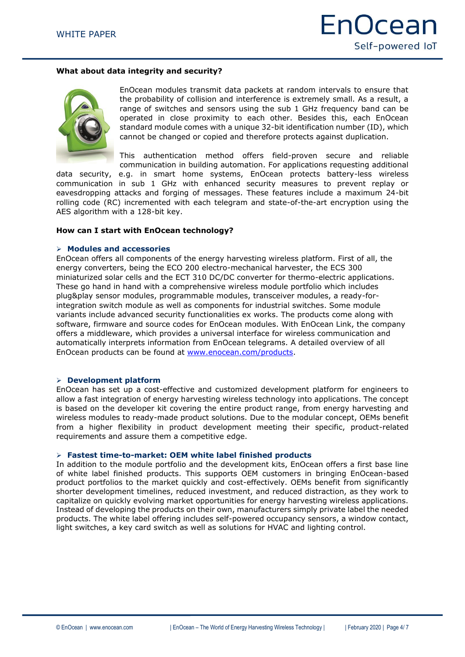# **What about data integrity and security?**



EnOcean modules transmit data packets at random intervals to ensure that the probability of collision and interference is extremely small. As a result, a range of switches and sensors using the sub 1 GHz frequency band can be operated in close proximity to each other. Besides this, each EnOcean standard module comes with a unique 32-bit identification number (ID), which cannot be changed or copied and therefore protects against duplication.

This authentication method offers field-proven secure and reliable communication in building automation. For applications requesting additional

data security, e.g. in smart home systems, EnOcean protects battery-less wireless communication in sub 1 GHz with enhanced security measures to prevent replay or eavesdropping attacks and forging of messages. These features include a maximum 24-bit rolling code (RC) incremented with each telegram and state-of-the-art encryption using the AES algorithm with a 128-bit key.

#### **How can I start with EnOcean technology?**

#### **Modules and accessories**

EnOcean offers all components of the energy harvesting wireless platform. First of all, the energy converters, being the ECO 200 electro-mechanical harvester, the ECS 300 miniaturized solar cells and the ECT 310 DC/DC converter for thermo-electric applications. These go hand in hand with a comprehensive wireless module portfolio which includes plug&play sensor modules, programmable modules, transceiver modules, a ready-forintegration switch module as well as components for industrial switches. Some module variants include advanced security functionalities ex works. The products come along with software, firmware and source codes for EnOcean modules. With EnOcean Link, the company offers a middleware, which provides a universal interface for wireless communication and automatically interprets information from EnOcean telegrams. A detailed overview of all EnOcean products can be found at [www.enocean.com/products.](http://www.enocean.com/products)

#### **Development platform**

EnOcean has set up a cost-effective and customized development platform for engineers to allow a fast integration of energy harvesting wireless technology into applications. The concept is based on the developer kit covering the entire product range, from energy harvesting and wireless modules to ready-made product solutions. Due to the modular concept, OEMs benefit from a higher flexibility in product development meeting their specific, product-related requirements and assure them a competitive edge.

#### **Fastest time-to-market: OEM white label finished products**

In addition to the module portfolio and the development kits, EnOcean offers a first base line of white label finished products. This supports OEM customers in bringing EnOcean-based product portfolios to the market quickly and cost-effectively. OEMs benefit from significantly shorter development timelines, reduced investment, and reduced distraction, as they work to capitalize on quickly evolving market opportunities for energy harvesting wireless applications. Instead of developing the products on their own, manufacturers simply private label the needed products. The white label offering includes self-powered occupancy sensors, a window contact, light switches, a key card switch as well as solutions for HVAC and lighting control.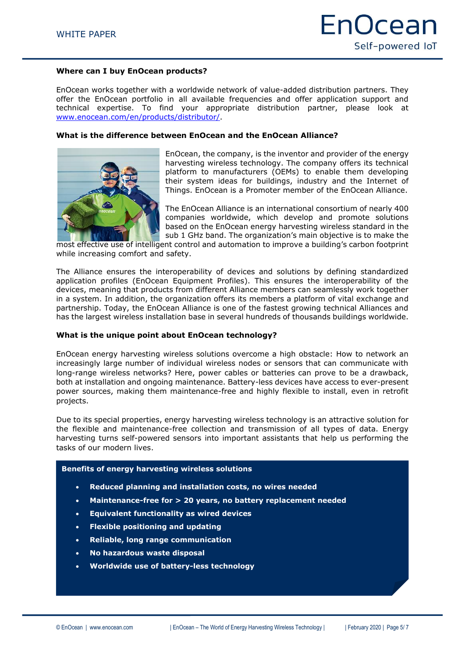### **Where can I buy EnOcean products?**

EnOcean works together with a worldwide network of value-added distribution partners. They offer the EnOcean portfolio in all available frequencies and offer application support and technical expertise. To find your appropriate distribution partner, please look at [www.enocean.com/en/products/distributor/.](https://www.enocean.com/en/products/distributor/)

### **What is the difference between EnOcean and the EnOcean Alliance?**



EnOcean, the company, is the inventor and provider of the energy harvesting wireless technology. The company offers its technical platform to manufacturers (OEMs) to enable them developing their system ideas for buildings, industry and the Internet of Things. EnOcean is a Promoter member of the EnOcean Alliance.

The EnOcean Alliance is an international consortium of nearly 400 companies worldwide, which develop and promote solutions based on the EnOcean energy harvesting wireless standard in the sub 1 GHz band. The organization's main objective is to make the

most effective use of intelligent control and automation to improve a building's carbon footprint while increasing comfort and safety.

The Alliance ensures the interoperability of devices and solutions by defining standardized application profiles (EnOcean Equipment Profiles). This ensures the interoperability of the devices, meaning that products from different Alliance members can seamlessly work together in a system. In addition, the organization offers its members a platform of vital exchange and partnership. Today, the EnOcean Alliance is one of the fastest growing technical Alliances and has the largest wireless installation base in several hundreds of thousands buildings worldwide.

#### **What is the unique point about EnOcean technology?**

EnOcean energy harvesting wireless solutions overcome a high obstacle: How to network an increasingly large number of individual wireless nodes or sensors that can communicate with long-range wireless networks? Here, power cables or batteries can prove to be a drawback, both at installation and ongoing maintenance. Battery-less devices have access to ever-present power sources, making them maintenance-free and highly flexible to install, even in retrofit projects.

Due to its special properties, energy harvesting wireless technology is an attractive solution for the flexible and maintenance-free collection and transmission of all types of data. Energy harvesting turns self-powered sensors into important assistants that help us performing the tasks of our modern lives.

#### **Benefits of energy harvesting wireless solutions**

- **Reduced planning and installation costs, no wires needed**
- **Maintenance-free for > 20 years, no battery replacement needed**
- **Equivalent functionality as wired devices**
- **Flexible positioning and updating**
- **Reliable, long range communication**
- **No hazardous waste disposal**
- **Worldwide use of battery-less technology**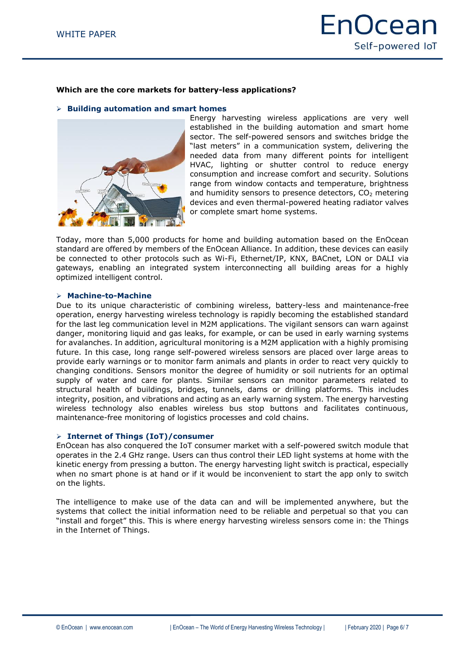### **Which are the core markets for battery-less applications?**

**Building automation and smart homes**



Energy harvesting wireless applications are very well established in the building automation and smart home sector. The self-powered sensors and switches bridge the "last meters" in a communication system, delivering the needed data from many different points for intelligent HVAC, lighting or shutter control to reduce energy consumption and increase comfort and security. Solutions range from window contacts and temperature, brightness and humidity sensors to presence detectors,  $CO<sub>2</sub>$  metering devices and even thermal-powered heating radiator valves or complete smart home systems.

Today, more than 5,000 products for home and building automation based on the EnOcean standard are offered by members of the EnOcean Alliance. In addition, these devices can easily be connected to other protocols such as Wi-Fi, Ethernet/IP, KNX, BACnet, LON or DALI via gateways, enabling an integrated system interconnecting all building areas for a highly optimized intelligent control.

### **Machine-to-Machine**

Due to its unique characteristic of combining wireless, battery-less and maintenance-free operation, energy harvesting wireless technology is rapidly becoming the established standard for the last leg communication level in M2M applications. The vigilant sensors can warn against danger, monitoring liquid and gas leaks, for example, or can be used in early warning systems for avalanches. In addition, agricultural monitoring is a M2M application with a highly promising future. In this case, long range self-powered wireless sensors are placed over large areas to provide early warnings or to monitor farm animals and plants in order to react very quickly to changing conditions. Sensors monitor the degree of humidity or soil nutrients for an optimal supply of water and care for plants. Similar sensors can monitor parameters related to structural health of buildings, bridges, tunnels, dams or drilling platforms. This includes integrity, position, and vibrations and acting as an early warning system. The energy harvesting wireless technology also enables wireless bus stop buttons and facilitates continuous, maintenance-free monitoring of logistics processes and cold chains.

#### **Internet of Things (IoT)/consumer**

EnOcean has also conquered the IoT consumer market with a self-powered switch module that operates in the 2.4 GHz range. Users can thus control their LED light systems at home with the kinetic energy from pressing a button. The energy harvesting light switch is practical, especially when no smart phone is at hand or if it would be inconvenient to start the app only to switch on the lights.

The intelligence to make use of the data can and will be implemented anywhere, but the systems that collect the initial information need to be reliable and perpetual so that you can "install and forget" this. This is where energy harvesting wireless sensors come in: the Things in the Internet of Things.